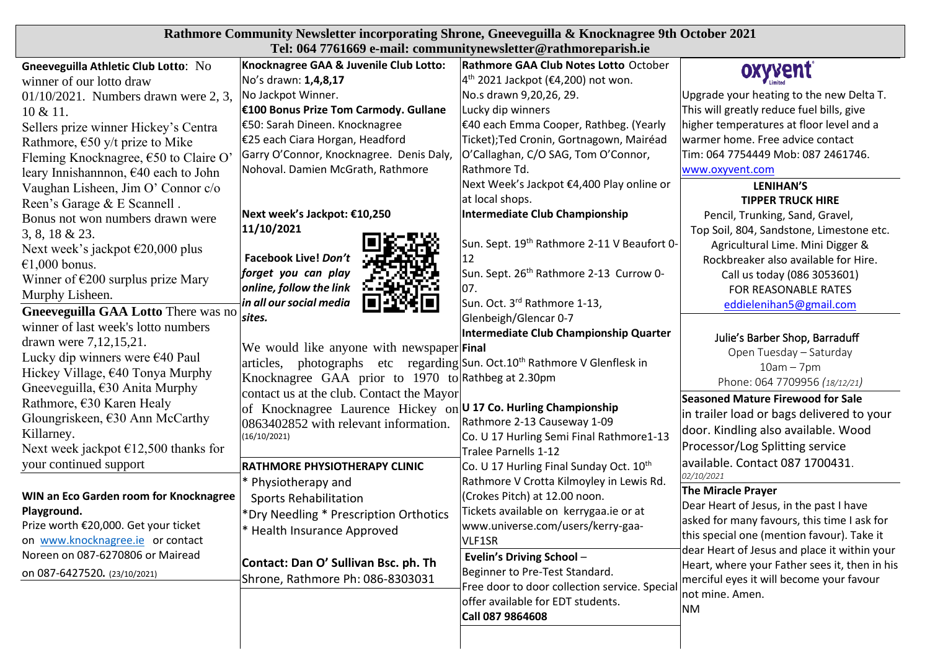| Rathmore Community Newsletter incorporating Shrone, Gneeveguilla & Knocknagree 9th October 2021 |                                                                                       |                                                         |                                                                                           |
|-------------------------------------------------------------------------------------------------|---------------------------------------------------------------------------------------|---------------------------------------------------------|-------------------------------------------------------------------------------------------|
| Tel: 064 7761669 e-mail: communitynewsletter@rathmoreparish.ie                                  |                                                                                       |                                                         |                                                                                           |
| Gneeveguilla Athletic Club Lotto: No                                                            | Knocknagree GAA & Juvenile Club Lotto:                                                | Rathmore GAA Club Notes Lotto October                   | oxyvent                                                                                   |
| winner of our lotto draw                                                                        | No's drawn: 1,4,8,17                                                                  | $4th$ 2021 Jackpot (€4,200) not won.                    |                                                                                           |
| $01/10/2021$ . Numbers drawn were 2, 3,                                                         | No Jackpot Winner.                                                                    | No.s drawn 9,20,26, 29.                                 | Upgrade your heating to the new Delta T.                                                  |
| 10 & 11.                                                                                        | E100 Bonus Prize Tom Carmody. Gullane                                                 | Lucky dip winners                                       | This will greatly reduce fuel bills, give                                                 |
| Sellers prize winner Hickey's Centra                                                            | €50: Sarah Dineen. Knocknagree                                                        | E40 each Emma Cooper, Rathbeg. (Yearly                  | higher temperatures at floor level and a                                                  |
| Rathmore, $\epsilon$ 50 y/t prize to Mike                                                       | €25 each Ciara Horgan, Headford                                                       | Ticket); Ted Cronin, Gortnagown, Mairéad                | warmer home. Free advice contact                                                          |
| Fleming Knocknagree, €50 to Claire O                                                            | Garry O'Connor, Knocknagree. Denis Daly,                                              | O'Callaghan, C/O SAG, Tom O'Connor,                     | Tim: 064 7754449 Mob: 087 2461746.                                                        |
| leary Innishannon, $\epsilon$ 40 each to John                                                   | Nohoval. Damien McGrath, Rathmore                                                     | Rathmore Td.                                            | www.oxyvent.com                                                                           |
| Vaughan Lisheen, Jim O' Connor c/o                                                              |                                                                                       | Next Week's Jackpot €4,400 Play online or               | <b>LENIHAN'S</b>                                                                          |
| Reen's Garage & E Scannell.                                                                     |                                                                                       | at local shops.                                         | <b>TIPPER TRUCK HIRE</b>                                                                  |
| Bonus not won numbers drawn were                                                                | Next week's Jackpot: €10,250                                                          | Intermediate Club Championship                          | Pencil, Trunking, Sand, Gravel,                                                           |
| $3, 8, 18 \& 23.$                                                                               | 11/10/2021                                                                            |                                                         | Top Soil, 804, Sandstone, Limestone etc.                                                  |
| Next week's jackpot $\epsilon$ 20,000 plus                                                      |                                                                                       | Sun. Sept. 19 <sup>th</sup> Rathmore 2-11 V Beaufort 0- | Agricultural Lime. Mini Digger &                                                          |
| €1,000 bonus.                                                                                   | Facebook Live! Don't                                                                  | 12                                                      | Rockbreaker also available for Hire.                                                      |
| Winner of $\epsilon$ 200 surplus prize Mary                                                     | forget you can play<br>online, follow the link                                        | Sun. Sept. 26 <sup>th</sup> Rathmore 2-13 Currow 0-     | Call us today (086 3053601)                                                               |
| Murphy Lisheen.                                                                                 | in all our social media                                                               | 07.<br>Sun. Oct. 3 <sup>rd</sup> Rathmore 1-13,         | FOR REASONABLE RATES                                                                      |
| Gneeveguilla GAA Lotto There was no                                                             | sites.                                                                                | Glenbeigh/Glencar 0-7                                   | eddielenihan5@gmail.com                                                                   |
| winner of last week's lotto numbers                                                             |                                                                                       | Intermediate Club Championship Quarter                  |                                                                                           |
| drawn were 7,12,15,21.                                                                          | We would like anyone with newspaper Final                                             |                                                         | Julie's Barber Shop, Barraduff                                                            |
| Lucky dip winners were $€40$ Paul                                                               | articles, photographs etc regarding Sun. Oct.10 <sup>th</sup> Rathmore V Glenflesk in |                                                         | Open Tuesday - Saturday                                                                   |
| Hickey Village, $640$ Tonya Murphy                                                              | Knocknagree GAA prior to 1970 to Rathbeg at 2.30pm                                    |                                                         | $10am - 7pm$                                                                              |
| Gneeveguilla, $\epsilon$ 30 Anita Murphy                                                        | contact us at the club. Contact the Mayor                                             |                                                         | Phone: 064 7709956 (18/12/21)                                                             |
| Rathmore, €30 Karen Healy                                                                       | of Knocknagree Laurence Hickey on U 17 Co. Hurling Championship                       |                                                         | <b>Seasoned Mature Firewood for Sale</b>                                                  |
| Gloungriskeen, $\epsilon$ 30 Ann McCarthy                                                       | 0863402852 with relevant information.                                                 | Rathmore 2-13 Causeway 1-09                             | in trailer load or bags delivered to your                                                 |
| Killarney.                                                                                      | (16/10/2021)                                                                          | Co. U 17 Hurling Semi Final Rathmore1-13                | door. Kindling also available. Wood                                                       |
| Next week jackpot $\epsilon$ 12,500 thanks for                                                  |                                                                                       | <b>Tralee Parnells 1-12</b>                             | Processor/Log Splitting service                                                           |
| your continued support                                                                          | RATHMORE PHYSIOTHERAPY CLINIC                                                         | Co. U 17 Hurling Final Sunday Oct. 10th                 | available. Contact 087 1700431.                                                           |
|                                                                                                 | * Physiotherapy and                                                                   | Rathmore V Crotta Kilmoyley in Lewis Rd.                | 02/10/2021                                                                                |
| WIN an Eco Garden room for Knocknagree                                                          | <b>Sports Rehabilitation</b>                                                          | (Crokes Pitch) at 12.00 noon.                           | <b>The Miracle Prayer</b>                                                                 |
| Playground.                                                                                     | *Dry Needling * Prescription Orthotics                                                | Tickets available on kerrygaa.ie or at                  | Dear Heart of Jesus, in the past I have                                                   |
| Prize worth €20,000. Get your ticket                                                            | * Health Insurance Approved                                                           | www.universe.com/users/kerry-gaa-                       | asked for many favours, this time I ask for                                               |
| on www.knocknagree.ie or contact                                                                |                                                                                       | VLF1SR                                                  | this special one (mention favour). Take it                                                |
| Noreen on 087-6270806 or Mairead                                                                | Contact: Dan O' Sullivan Bsc. ph. Th                                                  | Evelin's Driving School -                               | dear Heart of Jesus and place it within your                                              |
| on 087-6427520. (23/10/2021)                                                                    | Shrone, Rathmore Ph: 086-8303031                                                      | Beginner to Pre-Test Standard.                          | Heart, where your Father sees it, then in his<br>merciful eyes it will become your favour |
|                                                                                                 |                                                                                       | Free door to door collection service. Special           | not mine. Amen.                                                                           |
|                                                                                                 |                                                                                       | offer available for EDT students.                       | <b>NM</b>                                                                                 |
|                                                                                                 |                                                                                       | Call 087 9864608                                        |                                                                                           |
|                                                                                                 |                                                                                       |                                                         |                                                                                           |